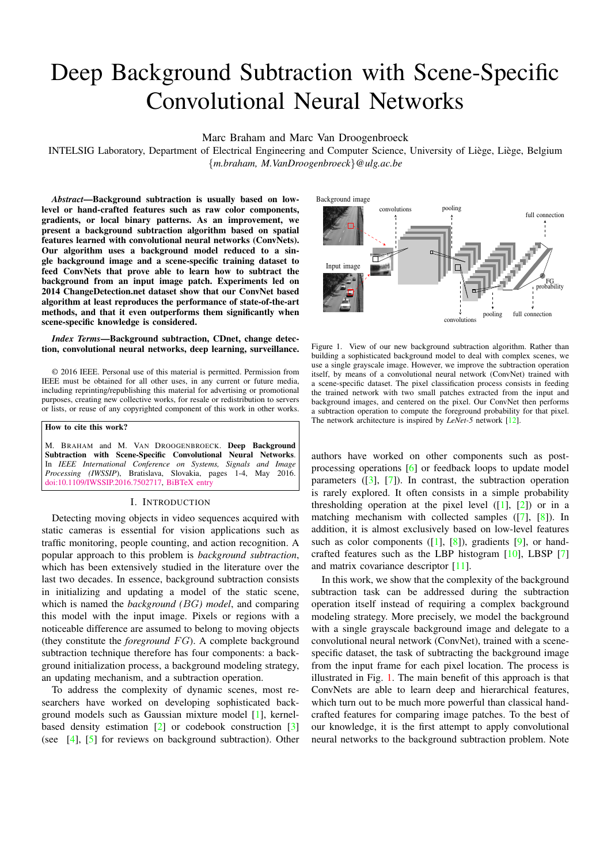# Deep Background Subtraction with Scene-Specific Convolutional Neural Networks

Marc Braham and Marc Van Droogenbroeck

INTELSIG Laboratory, Department of Electrical Engineering and Computer Science, University of Liège, Liège, Belgium {*m.braham, M.VanDroogenbroeck*}*@ulg.ac.be*

*Abstract*—Background subtraction is usually based on lowlevel or hand-crafted features such as raw color components, gradients, or local binary patterns. As an improvement, we present a background subtraction algorithm based on spatial features learned with convolutional neural networks (ConvNets). Our algorithm uses a background model reduced to a single background image and a scene-specific training dataset to feed ConvNets that prove able to learn how to subtract the background from an input image patch. Experiments led on 2014 ChangeDetection.net dataset show that our ConvNet based algorithm at least reproduces the performance of state-of-the-art methods, and that it even outperforms them significantly when scene-specific knowledge is considered.

### *Index Terms*—Background subtraction, CDnet, change detection, convolutional neural networks, deep learning, surveillance.

© 2016 IEEE. Personal use of this material is permitted. Permission from IEEE must be obtained for all other uses, in any current or future media, including reprinting/republishing this material for advertising or promotional purposes, creating new collective works, for resale or redistribution to servers or lists, or reuse of any copyrighted component of this work in other works.

How to cite this work?

M. BRAHAM and M. VAN DROOGENBROECK. Deep Background Subtraction with Scene-Specific Convolutional Neural Networks. In *IEEE International Conference on Systems, Signals and Image Processing (IWSSIP*), Bratislava, Slovakia, pages 1-4, May 2016. [doi:10.1109/IWSSIP.2016.7502717,](http://dx.doi.org/10.1109/IWSSIP.2016.7502717) [BiBTeX entry](http://www.telecom.ulg.ac.be/publi/Year/2016.complete.html#Braham2016Deep)

### I. INTRODUCTION

Detecting moving objects in video sequences acquired with static cameras is essential for vision applications such as traffic monitoring, people counting, and action recognition. A popular approach to this problem is *background subtraction*, which has been extensively studied in the literature over the last two decades. In essence, background subtraction consists in initializing and updating a model of the static scene, which is named the *background (*BG*) model*, and comparing this model with the input image. Pixels or regions with a noticeable difference are assumed to belong to moving objects (they constitute the *foreground*  $FG$ ). A complete background subtraction technique therefore has four components: a background initialization process, a background modeling strategy, an updating mechanism, and a subtraction operation.

To address the complexity of dynamic scenes, most researchers have worked on developing sophisticated background models such as Gaussian mixture model [\[1\]](#page-3-0), kernelbased density estimation [\[2\]](#page-3-1) or codebook construction [\[3\]](#page-3-2) (see [\[4\]](#page-3-3), [\[5\]](#page-3-4) for reviews on background subtraction). Other



<span id="page-0-0"></span>Figure 1. View of our new background subtraction algorithm. Rather than building a sophisticated background model to deal with complex scenes, we use a single grayscale image. However, we improve the subtraction operation itself, by means of a convolutional neural network (ConvNet) trained with a scene-specific dataset. The pixel classification process consists in feeding the trained network with two small patches extracted from the input and background images, and centered on the pixel. Our ConvNet then performs a subtraction operation to compute the foreground probability for that pixel. The network architecture is inspired by *LeNet-5* network [\[12\]](#page-3-5).

authors have worked on other components such as postprocessing operations [\[6\]](#page-3-6) or feedback loops to update model parameters  $([3], [7])$  $([3], [7])$  $([3], [7])$  $([3], [7])$  $([3], [7])$ . In contrast, the subtraction operation is rarely explored. It often consists in a simple probability thresholding operation at the pixel level  $([1], [2])$  $([1], [2])$  $([1], [2])$  $([1], [2])$  $([1], [2])$  or in a matching mechanism with collected samples ([\[7\]](#page-3-7), [\[8\]](#page-3-8)). In addition, it is almost exclusively based on low-level features such as color components  $([1], [8])$  $([1], [8])$  $([1], [8])$  $([1], [8])$  $([1], [8])$ , gradients  $[9]$ , or handcrafted features such as the LBP histogram [\[10\]](#page-3-10), LBSP [\[7\]](#page-3-7) and matrix covariance descriptor [\[11\]](#page-3-11).

In this work, we show that the complexity of the background subtraction task can be addressed during the subtraction operation itself instead of requiring a complex background modeling strategy. More precisely, we model the background with a single grayscale background image and delegate to a convolutional neural network (ConvNet), trained with a scenespecific dataset, the task of subtracting the background image from the input frame for each pixel location. The process is illustrated in Fig. [1.](#page-0-0) The main benefit of this approach is that ConvNets are able to learn deep and hierarchical features, which turn out to be much more powerful than classical handcrafted features for comparing image patches. To the best of our knowledge, it is the first attempt to apply convolutional neural networks to the background subtraction problem. Note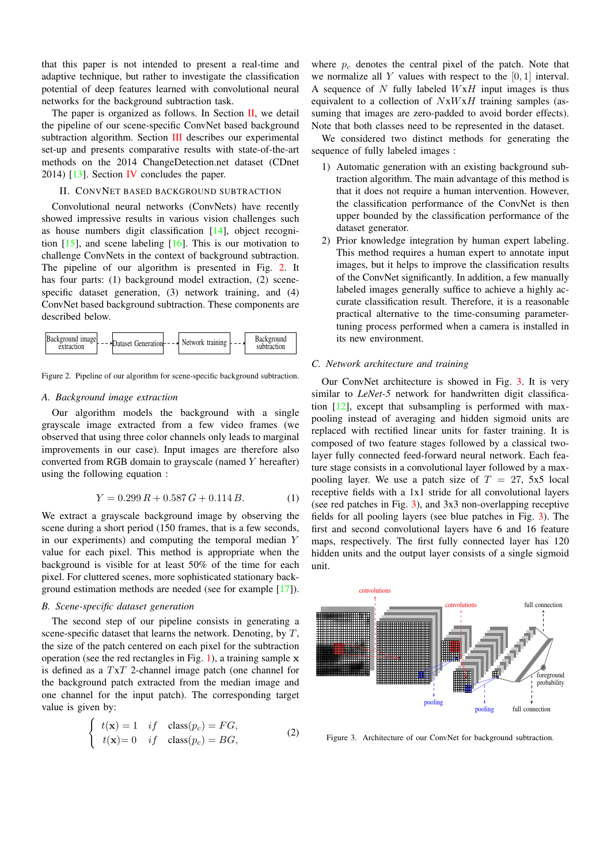that this paper is not intended to present a real-time and adaptive technique, but rather to investigate the classification potential of deep features learned with convolutional neural networks for the background subtraction task.

The paper is organized as follows. In Section  $II$ , we detail the pipeline of our scene-specific ConvNet based background subtraction algorithm. Section [III](#page-2-0) describes our experimental set-up and presents comparative results with state-of-the-art methods on the 2014 ChangeDetection.net dataset (CDnet 2014) [\[13\]](#page-3-12). Section [IV](#page-2-1) concludes the paper.

#### <span id="page-1-0"></span>II. CONVNET BASED BACKGROUND SUBTRACTION

Convolutional neural networks (ConvNets) have recently showed impressive results in various vision challenges such as house numbers digit classification [\[14\]](#page-3-13), object recognition [\[15\]](#page-4-0), and scene labeling [\[16\]](#page-4-1). This is our motivation to challenge ConvNets in the context of background subtraction. The pipeline of our algorithm is presented in Fig. [2.](#page-1-1) It has four parts: (1) background model extraction, (2) scenespecific dataset generation, (3) network training, and (4) ConvNet based background subtraction. These components are described below.



<span id="page-1-1"></span>Figure 2. Pipeline of our algorithm for scene-specific background subtraction.

# *A. Background image extraction*

Our algorithm models the background with a single grayscale image extracted from a few video frames (we observed that using three color channels only leads to marginal improvements in our case). Input images are therefore also converted from RGB domain to grayscale (named Y hereafter) using the following equation :

$$
Y = 0.299 R + 0.587 G + 0.114 B.
$$
 (1)

We extract a grayscale background image by observing the scene during a short period (150 frames, that is a few seconds, in our experiments) and computing the temporal median Y value for each pixel. This method is appropriate when the background is visible for at least 50% of the time for each pixel. For cluttered scenes, more sophisticated stationary background estimation methods are needed (see for example [\[17\]](#page-4-2)).

## *B. Scene-specific dataset generation*

The second step of our pipeline consists in generating a scene-specific dataset that learns the network. Denoting, by  $T$ , the size of the patch centered on each pixel for the subtraction operation (see the red rectangles in Fig. [1\)](#page-0-0), a training sample  $x$ is defined as a TxT 2-channel image patch (one channel for the background patch extracted from the median image and one channel for the input patch). The corresponding target value is given by:

$$
\begin{cases}\n t(\mathbf{x}) = 1 & if \quad \text{class}(p_c) = FG, \\
t(\mathbf{x}) = 0 & if \quad \text{class}(p_c) = BG,\n\end{cases}
$$
\n(2)

where  $p_c$  denotes the central pixel of the patch. Note that we normalize all  $Y$  values with respect to the  $[0, 1]$  interval. A sequence of N fully labeled  $WxH$  input images is thus equivalent to a collection of  $NxWxH$  training samples (assuming that images are zero-padded to avoid border effects). Note that both classes need to be represented in the dataset.

We considered two distinct methods for generating the sequence of fully labeled images :

- 1) Automatic generation with an existing background subtraction algorithm. The main advantage of this method is that it does not require a human intervention. However, the classification performance of the ConvNet is then upper bounded by the classification performance of the dataset generator.
- 2) Prior knowledge integration by human expert labeling. This method requires a human expert to annotate input images, but it helps to improve the classification results of the ConvNet significantly. In addition, a few manually labeled images generally suffice to achieve a highly accurate classification result. Therefore, it is a reasonable practical alternative to the time-consuming parametertuning process performed when a camera is installed in its new environment.

## *C. Network architecture and training*

Our ConvNet architecture is showed in Fig. [3.](#page-1-2) It is very similar to *LeNet-5* network for handwritten digit classification [\[12\]](#page-3-5), except that subsampling is performed with maxpooling instead of averaging and hidden sigmoid units are replaced with rectified linear units for faster training. It is composed of two feature stages followed by a classical twolayer fully connected feed-forward neural network. Each feature stage consists in a convolutional layer followed by a maxpooling layer. We use a patch size of  $T = 27$ , 5x5 local receptive fields with a 1x1 stride for all convolutional layers (see red patches in Fig. [3\)](#page-1-2), and 3x3 non-overlapping receptive fields for all pooling layers (see blue patches in Fig. [3\)](#page-1-2). The first and second convolutional layers have 6 and 16 feature maps, respectively. The first fully connected layer has 120 hidden units and the output layer consists of a single sigmoid unit.



<span id="page-1-2"></span>Figure 3. Architecture of our ConvNet for background subtraction.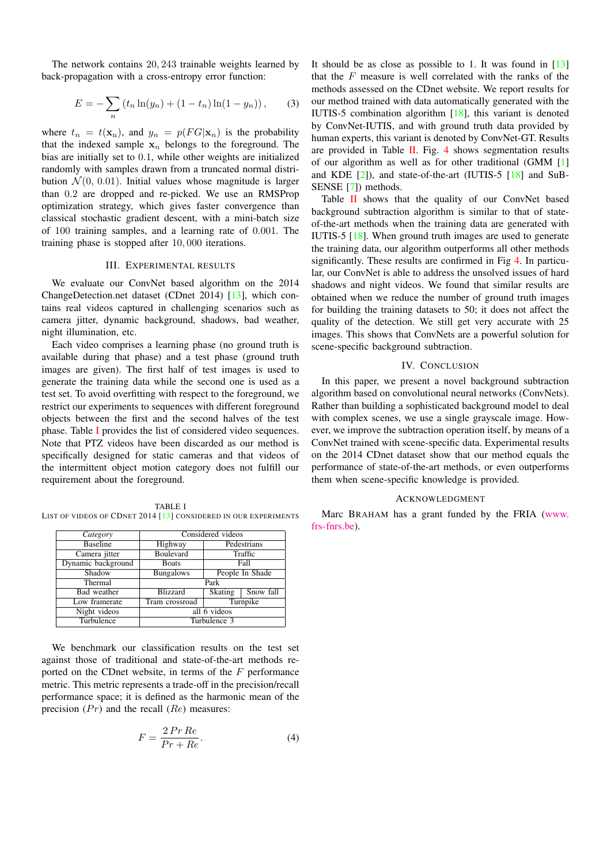The network contains 20, 243 trainable weights learned by back-propagation with a cross-entropy error function:

$$
E = -\sum_{n} (t_n \ln(y_n) + (1 - t_n) \ln(1 - y_n)), \qquad (3)
$$

where  $t_n = t(\mathbf{x}_n)$ , and  $y_n = p(FG|\mathbf{x}_n)$  is the probability that the indexed sample  $x_n$  belongs to the foreground. The bias are initially set to 0.1, while other weights are initialized randomly with samples drawn from a truncated normal distribution  $\mathcal{N}(0, 0.01)$ . Initial values whose magnitude is larger than 0.2 are dropped and re-picked. We use an RMSProp optimization strategy, which gives faster convergence than classical stochastic gradient descent, with a mini-batch size of 100 training samples, and a learning rate of 0.001. The training phase is stopped after 10, 000 iterations.

## III. EXPERIMENTAL RESULTS

<span id="page-2-0"></span>We evaluate our ConvNet based algorithm on the 2014 ChangeDetection.net dataset (CDnet 2014) [\[13\]](#page-3-12), which contains real videos captured in challenging scenarios such as camera jitter, dynamic background, shadows, bad weather, night illumination, etc.

Each video comprises a learning phase (no ground truth is available during that phase) and a test phase (ground truth images are given). The first half of test images is used to generate the training data while the second one is used as a test set. To avoid overfitting with respect to the foreground, we restrict our experiments to sequences with different foreground objects between the first and the second halves of the test phase. Table [I](#page-2-2) provides the list of considered video sequences. Note that PTZ videos have been discarded as our method is specifically designed for static cameras and that videos of the intermittent object motion category does not fulfill our requirement about the foreground.

<span id="page-2-2"></span>TABLE I LIST OF VIDEOS OF CDNET 2014 [\[13\]](#page-3-12) CONSIDERED IN OUR EXPERIMENTS

| Category           | Considered videos |                 |           |  |  |
|--------------------|-------------------|-----------------|-----------|--|--|
| <b>Baseline</b>    | Highway           | Pedestrians     |           |  |  |
| Camera jitter      | Boulevard         | Traffic         |           |  |  |
| Dynamic background | <b>Boats</b>      | Fall            |           |  |  |
| Shadow             | <b>Bungalows</b>  | People In Shade |           |  |  |
| Thermal            | Park              |                 |           |  |  |
| Bad weather        | <b>Blizzard</b>   | Skating         | Snow fall |  |  |
| Low framerate      | Tram crossroad    | Turnpike        |           |  |  |
| Night videos       | all 6 videos      |                 |           |  |  |
| Turbulence         | Turbulence 3      |                 |           |  |  |

We benchmark our classification results on the test set against those of traditional and state-of-the-art methods reported on the CDnet website, in terms of the  $F$  performance metric. This metric represents a trade-off in the precision/recall performance space; it is defined as the harmonic mean of the precision  $(Pr)$  and the recall  $(Re)$  measures:

$$
F = \frac{2\Pr Re}{Pr + Re}.\tag{4}
$$

It should be as close as possible to 1. It was found in  $[13]$ that the  $F$  measure is well correlated with the ranks of the methods assessed on the CDnet website. We report results for our method trained with data automatically generated with the IUTIS-5 combination algorithm [\[18\]](#page-4-3), this variant is denoted by ConvNet-IUTIS, and with ground truth data provided by human experts, this variant is denoted by ConvNet-GT. Results are provided in Table [II.](#page-3-14) Fig. [4](#page-3-15) shows segmentation results of our algorithm as well as for other traditional (GMM [\[1\]](#page-3-0) and KDE [\[2\]](#page-3-1)), and state-of-the-art (IUTIS-5 [\[18\]](#page-4-3) and SuB-SENSE [\[7\]](#page-3-7)) methods.

Table [II](#page-3-14) shows that the quality of our ConvNet based background subtraction algorithm is similar to that of stateof-the-art methods when the training data are generated with IUTIS-5 [\[18\]](#page-4-3). When ground truth images are used to generate the training data, our algorithm outperforms all other methods significantly. These results are confirmed in Fig [4.](#page-3-15) In particular, our ConvNet is able to address the unsolved issues of hard shadows and night videos. We found that similar results are obtained when we reduce the number of ground truth images for building the training datasets to 50; it does not affect the quality of the detection. We still get very accurate with 25 images. This shows that ConvNets are a powerful solution for scene-specific background subtraction.

### IV. CONCLUSION

<span id="page-2-1"></span>In this paper, we present a novel background subtraction algorithm based on convolutional neural networks (ConvNets). Rather than building a sophisticated background model to deal with complex scenes, we use a single grayscale image. However, we improve the subtraction operation itself, by means of a ConvNet trained with scene-specific data. Experimental results on the 2014 CDnet dataset show that our method equals the performance of state-of-the-art methods, or even outperforms them when scene-specific knowledge is provided.

## ACKNOWLEDGMENT

Marc BRAHAM has a grant funded by the FRIA [\(www.](www.frs-fnrs.be) [frs-fnrs.be\)](www.frs-fnrs.be).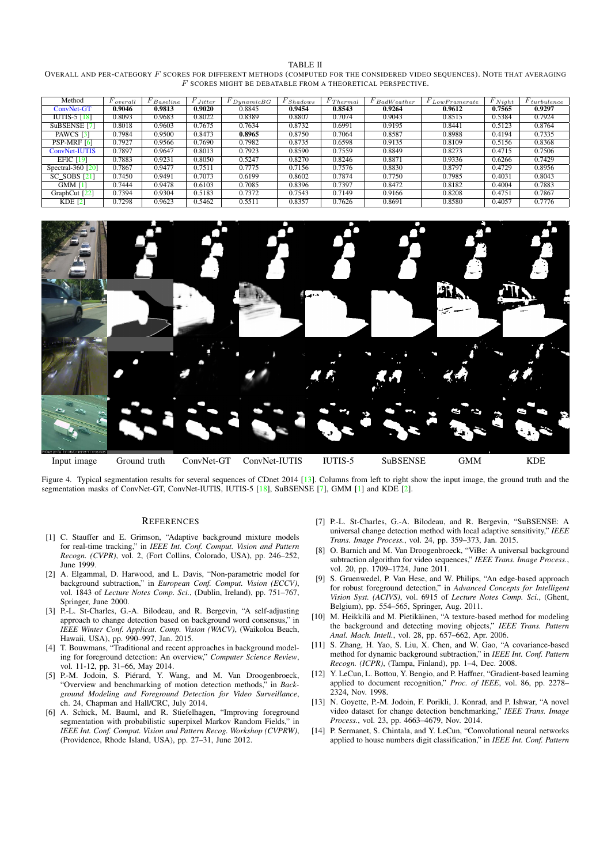TABLE II

<span id="page-3-14"></span>OVERALL AND PER-CATEGORY F SCORES FOR DIFFERENT METHODS (COMPUTED FOR THE CONSIDERED VIDEO SEQUENCES). NOTE THAT AVERAGING  $\cal F$  SCORES MIGHT BE DEBATABLE FROM A THEORETICAL PERSPECTIVE.

| Method                          | $F_{overall}$ | $F_{\text{Baseline}}$ | $\overline{F}_{Jitter}$ | $F_{Dynamic BG}$ | $F_{Shadows}$ | $F_{\textit{Thermal}}$ | $F$ BadWeather | $F_{Low\underline{Framerate}}$ | $F_{Night}$ | $F_{turbulence}$ |
|---------------------------------|---------------|-----------------------|-------------------------|------------------|---------------|------------------------|----------------|--------------------------------|-------------|------------------|
| ConvNet-GT                      | 0.9046        | 0.9813                | 0.9020                  | 0.8845           | 0.9454        | 0.8543                 | 0.9264         | 0.9612                         | 0.7565      | 0.9297           |
| $\overline{IUTIS-5}$ [18]       | 0.8093        | 0.9683                | 0.8022                  | 0.8389           | 0.8807        | 0.7074                 | 0.9043         | 0.8515                         | 0.5384      | 0.7924           |
| SuBSENSE <sup>[7]</sup>         | 0.8018        | 0.9603                | 0.7675                  | 0.7634           | 0.8732        | 0.6991                 | 0.9195         | 0.8441                         | 0.5123      | 0.8764           |
| PAWCS [3]                       | 0.7984        | 0.9500                | 0.8473                  | 0.8965           | 0.8750        | 0.7064                 | 0.8587         | 0.8988                         | 0.4194      | 0.7335           |
| PSP-MRF [6]                     | 0.7927        | 0.9566                | 0.7690                  | 0.7982           | 0.8735        | 0.6598                 | 0.9135         | 0.8109                         | 0.5156      | 0.8368           |
| ConvNet-IUTIS                   | 0.7897        | 0.9647                | 0.8013                  | 0.7923           | 0.8590        | 0.7559                 | 0.8849         | 0.8273                         | 0.4715      | 0.7506           |
| EFIC $[19]$                     | 0.7883        | 0.9231                | 0.8050                  | 0.5247           | 0.8270        | 0.8246                 | 0.8871         | 0.9336                         | 0.6266      | 0.7429           |
| Spectral-360 $\lceil 20 \rceil$ | 0.7867        | 0.9477                | 0.7511                  | 0.7775           | 0.7156        | 0.7576                 | 0.8830         | 0.8797                         | 0.4729      | 0.8956           |
| $SC$ SOBS $[21]$                | 0.7450        | 0.9491                | 0.7073                  | 0.6199           | 0.8602        | 0.7874                 | 0.7750         | 0.7985                         | 0.4031      | 0.8043           |
| <b>GMM [1]</b>                  | 0.7444        | 0.9478                | 0.6103                  | 0.7085           | 0.8396        | 0.7397                 | 0.8472         | 0.8182                         | 0.4004      | 0.7883           |
| GraphCut [22]                   | 0.7394        | 0.9304                | 0.5183                  | 0.7372           | 0.7543        | 0.7149                 | 0.9166         | 0.8208                         | 0.4751      | 0.7867           |
| $KDE$ [2]                       | 0.7298        | 0.9623                | 0.5462                  | 0.5511           | 0.8357        | 0.7626                 | 0.8691         | 0.8580                         | 0.4057      | 0.7776           |



<span id="page-3-15"></span>Figure 4. Typical segmentation results for several sequences of CDnet 2014 [\[13\]](#page-3-12). Columns from left to right show the input image, the ground truth and the segmentation masks of ConvNet-GT, ConvNet-IUTIS, IUTIS-5 [\[18\]](#page-4-3), SuBSENSE [\[7\]](#page-3-7), GMM [\[1\]](#page-3-0) and KDE [\[2\]](#page-3-1).

#### **REFERENCES**

- <span id="page-3-0"></span>[1] C. Stauffer and E. Grimson, "Adaptive background mixture models for real-time tracking," in *IEEE Int. Conf. Comput. Vision and Pattern Recogn. (CVPR)*, vol. 2, (Fort Collins, Colorado, USA), pp. 246–252, June 1999.
- <span id="page-3-1"></span>[2] A. Elgammal, D. Harwood, and L. Davis, "Non-parametric model for background subtraction," in *European Conf. Comput. Vision (ECCV)*, vol. 1843 of *Lecture Notes Comp. Sci.*, (Dublin, Ireland), pp. 751–767, Springer, June 2000.
- <span id="page-3-2"></span>[3] P.-L. St-Charles, G.-A. Bilodeau, and R. Bergevin, "A self-adjusting approach to change detection based on background word consensus," in *IEEE Winter Conf. Applicat. Comp. Vision (WACV)*, (Waikoloa Beach, Hawaii, USA), pp. 990–997, Jan. 2015.
- <span id="page-3-3"></span>[4] T. Bouwmans, "Traditional and recent approaches in background modeling for foreground detection: An overview," *Computer Science Review*, vol. 11-12, pp. 31–66, May 2014.
- <span id="page-3-4"></span>[5] P.-M. Jodoin, S. Piérard, Y. Wang, and M. Van Droogenbroeck, "Overview and benchmarking of motion detection methods," in *Background Modeling and Foreground Detection for Video Surveillance*, ch. 24, Chapman and Hall/CRC, July 2014.
- <span id="page-3-6"></span>[6] A. Schick, M. Bauml, and R. Stiefelhagen, "Improving foreground segmentation with probabilistic superpixel Markov Random Fields," in *IEEE Int. Conf. Comput. Vision and Pattern Recog. Workshop (CVPRW)*, (Providence, Rhode Island, USA), pp. 27–31, June 2012.
- <span id="page-3-7"></span>[7] P.-L. St-Charles, G.-A. Bilodeau, and R. Bergevin, "SuBSENSE: A universal change detection method with local adaptive sensitivity," *IEEE Trans. Image Process.*, vol. 24, pp. 359–373, Jan. 2015.
- <span id="page-3-8"></span>[8] O. Barnich and M. Van Droogenbroeck, "ViBe: A universal background subtraction algorithm for video sequences," *IEEE Trans. Image Process.*, vol. 20, pp. 1709–1724, June 2011.
- <span id="page-3-9"></span>[9] S. Gruenwedel, P. Van Hese, and W. Philips, "An edge-based approach for robust foreground detection," in *Advanced Concepts for Intelligent Vision Syst. (ACIVS)*, vol. 6915 of *Lecture Notes Comp. Sci.*, (Ghent, Belgium), pp. 554–565, Springer, Aug. 2011.
- <span id="page-3-10"></span>[10] M. Heikkilä and M. Pietikäinen, "A texture-based method for modeling the background and detecting moving objects," *IEEE Trans. Pattern Anal. Mach. Intell.*, vol. 28, pp. 657–662, Apr. 2006.
- <span id="page-3-11"></span>[11] S. Zhang, H. Yao, S. Liu, X. Chen, and W. Gao, "A covariance-based method for dynamic background subtraction," in *IEEE Int. Conf. Pattern Recogn. (ICPR)*, (Tampa, Finland), pp. 1–4, Dec. 2008.
- <span id="page-3-5"></span>[12] Y. LeCun, L. Bottou, Y. Bengio, and P. Haffner, "Gradient-based learning applied to document recognition," *Proc. of IEEE*, vol. 86, pp. 2278– 2324, Nov. 1998.
- <span id="page-3-12"></span>[13] N. Goyette, P.-M. Jodoin, F. Porikli, J. Konrad, and P. Ishwar, "A novel video dataset for change detection benchmarking," *IEEE Trans. Image Process.*, vol. 23, pp. 4663–4679, Nov. 2014.
- <span id="page-3-13"></span>[14] P. Sermanet, S. Chintala, and Y. LeCun, "Convolutional neural networks applied to house numbers digit classification," in *IEEE Int. Conf. Pattern*